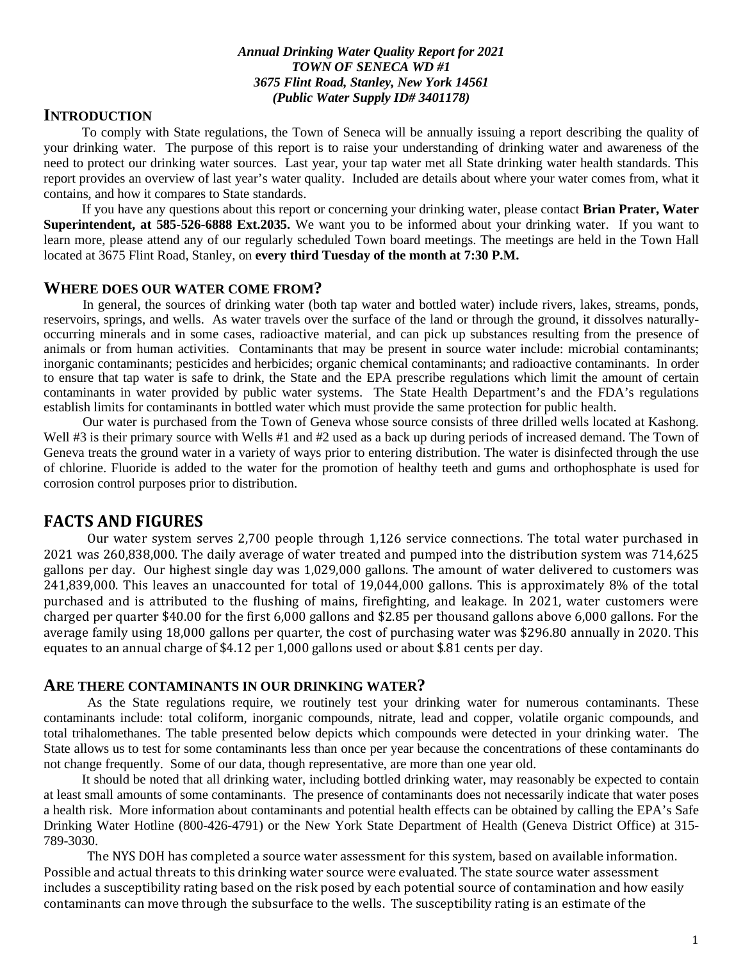#### *Annual Drinking Water Quality Report for 2021 TOWN OF SENECA WD #1 3675 Flint Road, Stanley, New York 14561 (Public Water Supply ID# 3401178)*

### **INTRODUCTION**

To comply with State regulations, the Town of Seneca will be annually issuing a report describing the quality of your drinking water. The purpose of this report is to raise your understanding of drinking water and awareness of the need to protect our drinking water sources. Last year, your tap water met all State drinking water health standards. This report provides an overview of last year's water quality. Included are details about where your water comes from, what it contains, and how it compares to State standards.

If you have any questions about this report or concerning your drinking water, please contact **Brian Prater, Water Superintendent, at 585-526-6888 Ext.2035.** We want you to be informed about your drinking water. If you want to learn more, please attend any of our regularly scheduled Town board meetings. The meetings are held in the Town Hall located at 3675 Flint Road, Stanley, on **every third Tuesday of the month at 7:30 P.M.**

#### **WHERE DOES OUR WATER COME FROM?**

 In general, the sources of drinking water (both tap water and bottled water) include rivers, lakes, streams, ponds, reservoirs, springs, and wells. As water travels over the surface of the land or through the ground, it dissolves naturallyoccurring minerals and in some cases, radioactive material, and can pick up substances resulting from the presence of animals or from human activities. Contaminants that may be present in source water include: microbial contaminants; inorganic contaminants; pesticides and herbicides; organic chemical contaminants; and radioactive contaminants. In order to ensure that tap water is safe to drink, the State and the EPA prescribe regulations which limit the amount of certain contaminants in water provided by public water systems. The State Health Department's and the FDA's regulations establish limits for contaminants in bottled water which must provide the same protection for public health.

 Our water is purchased from the Town of Geneva whose source consists of three drilled wells located at Kashong. Well #3 is their primary source with Wells #1 and #2 used as a back up during periods of increased demand. The Town of Geneva treats the ground water in a variety of ways prior to entering distribution. The water is disinfected through the use of chlorine. Fluoride is added to the water for the promotion of healthy teeth and gums and orthophosphate is used for corrosion control purposes prior to distribution.

### **FACTS AND FIGURES**

Our water system serves 2,700 people through 1,126 service connections. The total water purchased in 2021 was 260,838,000. The daily average of water treated and pumped into the distribution system was 714,625 gallons per day. Our highest single day was 1,029,000 gallons. The amount of water delivered to customers was 241,839,000. This leaves an unaccounted for total of 19,044,000 gallons. This is approximately 8% of the total purchased and is attributed to the flushing of mains, firefighting, and leakage. In 2021, water customers were charged per quarter \$40.00 for the first 6,000 gallons and \$2.85 per thousand gallons above 6,000 gallons. For the average family using 18,000 gallons per quarter, the cost of purchasing water was \$296.80 annually in 2020. This equates to an annual charge of \$4.12 per 1,000 gallons used or about \$.81 cents per day.

#### **ARE THERE CONTAMINANTS IN OUR DRINKING WATER?**

As the State regulations require, we routinely test your drinking water for numerous contaminants. These contaminants include: total coliform, inorganic compounds, nitrate, lead and copper, volatile organic compounds, and total trihalomethanes. The table presented below depicts which compounds were detected in your drinking water. The State allows us to test for some contaminants less than once per year because the concentrations of these contaminants do not change frequently. Some of our data, though representative, are more than one year old.

It should be noted that all drinking water, including bottled drinking water, may reasonably be expected to contain at least small amounts of some contaminants. The presence of contaminants does not necessarily indicate that water poses a health risk. More information about contaminants and potential health effects can be obtained by calling the EPA's Safe Drinking Water Hotline (800-426-4791) or the New York State Department of Health (Geneva District Office) at 315- 789-3030.

The NYS DOH has completed a source water assessment for this system, based on available information. Possible and actual threats to this drinking water source were evaluated. The state source water assessment includes a susceptibility rating based on the risk posed by each potential source of contamination and how easily contaminants can move through the subsurface to the wells. The susceptibility rating is an estimate of the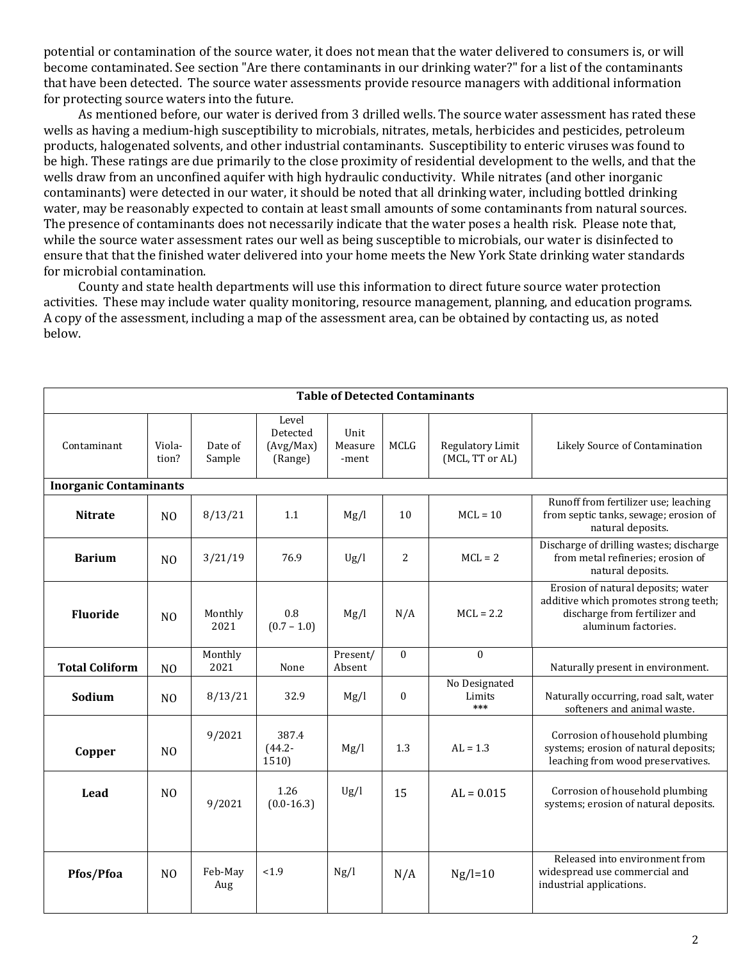potential or contamination of the source water, it does not mean that the water delivered to consumers is, or will become contaminated. See section "Are there contaminants in our drinking water?" for a list of the contaminants that have been detected. The source water assessments provide resource managers with additional information for protecting source waters into the future.

 As mentioned before, our water is derived from 3 drilled wells. The source water assessment has rated these wells as having a medium-high susceptibility to microbials, nitrates, metals, herbicides and pesticides, petroleum products, halogenated solvents, and other industrial contaminants. Susceptibility to enteric viruses was found to be high. These ratings are due primarily to the close proximity of residential development to the wells, and that the wells draw from an unconfined aquifer with high hydraulic conductivity. While nitrates (and other inorganic contaminants) were detected in our water, it should be noted that all drinking water, including bottled drinking water, may be reasonably expected to contain at least small amounts of some contaminants from natural sources. The presence of contaminants does not necessarily indicate that the water poses a health risk. Please note that, while the source water assessment rates our well as being susceptible to microbials, our water is disinfected to ensure that that the finished water delivered into your home meets the New York State drinking water standards for microbial contamination.

 County and state health departments will use this information to direct future source water protection activities. These may include water quality monitoring, resource management, planning, and education programs. A copy of the assessment, including a map of the assessment area, can be obtained by contacting us, as noted below.

| <b>Table of Detected Contaminants</b> |                 |                   |                                           |                          |                  |                                     |                                                                                                                                     |  |  |  |  |  |
|---------------------------------------|-----------------|-------------------|-------------------------------------------|--------------------------|------------------|-------------------------------------|-------------------------------------------------------------------------------------------------------------------------------------|--|--|--|--|--|
| Contaminant                           | Viola-<br>tion? | Date of<br>Sample | Level<br>Detected<br>(Avg/Max)<br>(Range) | Unit<br>Measure<br>-ment | <b>MCLG</b>      | Regulatory Limit<br>(MCL, TT or AL) | Likely Source of Contamination                                                                                                      |  |  |  |  |  |
| <b>Inorganic Contaminants</b>         |                 |                   |                                           |                          |                  |                                     |                                                                                                                                     |  |  |  |  |  |
| <b>Nitrate</b>                        | N <sub>0</sub>  | 8/13/21           | 1.1                                       | Mg/l                     | 10               | $MCL = 10$                          | Runoff from fertilizer use; leaching<br>from septic tanks, sewage; erosion of<br>natural deposits.                                  |  |  |  |  |  |
| <b>Barium</b>                         | N <sub>0</sub>  | 3/21/19           | 76.9                                      | Ug/l                     | $\overline{2}$   | $MCL = 2$                           | Discharge of drilling wastes; discharge<br>from metal refineries; erosion of<br>natural deposits.                                   |  |  |  |  |  |
| <b>Fluoride</b>                       | N <sub>O</sub>  | Monthly<br>2021   | 0.8<br>$(0.7 - 1.0)$                      | Mg/l                     | N/A              | $MCL = 2.2$                         | Erosion of natural deposits; water<br>additive which promotes strong teeth;<br>discharge from fertilizer and<br>aluminum factories. |  |  |  |  |  |
| <b>Total Coliform</b>                 | N <sub>O</sub>  | Monthly<br>2021   | None                                      | Present/<br>Absent       | $\theta$         | $\bf{0}$                            | Naturally present in environment.                                                                                                   |  |  |  |  |  |
| Sodium                                | N <sub>O</sub>  | 8/13/21           | 32.9                                      | Mg/l                     | $\boldsymbol{0}$ | No Designated<br>Limits<br>***      | Naturally occurring, road salt, water<br>softeners and animal waste.                                                                |  |  |  |  |  |
| Copper                                | N <sub>O</sub>  | 9/2021            | 387.4<br>$(44.2 -$<br>1510)               | Mg/l                     | 1.3              | $AL = 1.3$                          | Corrosion of household plumbing<br>systems; erosion of natural deposits;<br>leaching from wood preservatives.                       |  |  |  |  |  |
| Lead                                  | N <sub>0</sub>  | 9/2021            | 1.26<br>$(0.0-16.3)$                      | Ug/l                     | 15               | $AL = 0.015$                        | Corrosion of household plumbing<br>systems; erosion of natural deposits.                                                            |  |  |  |  |  |
| Pfos/Pfoa                             | N <sub>0</sub>  | Feb-May<br>Aug    | < 1.9                                     | Ng/l                     | N/A              | $Ng/l=10$                           | Released into environment from<br>widespread use commercial and<br>industrial applications.                                         |  |  |  |  |  |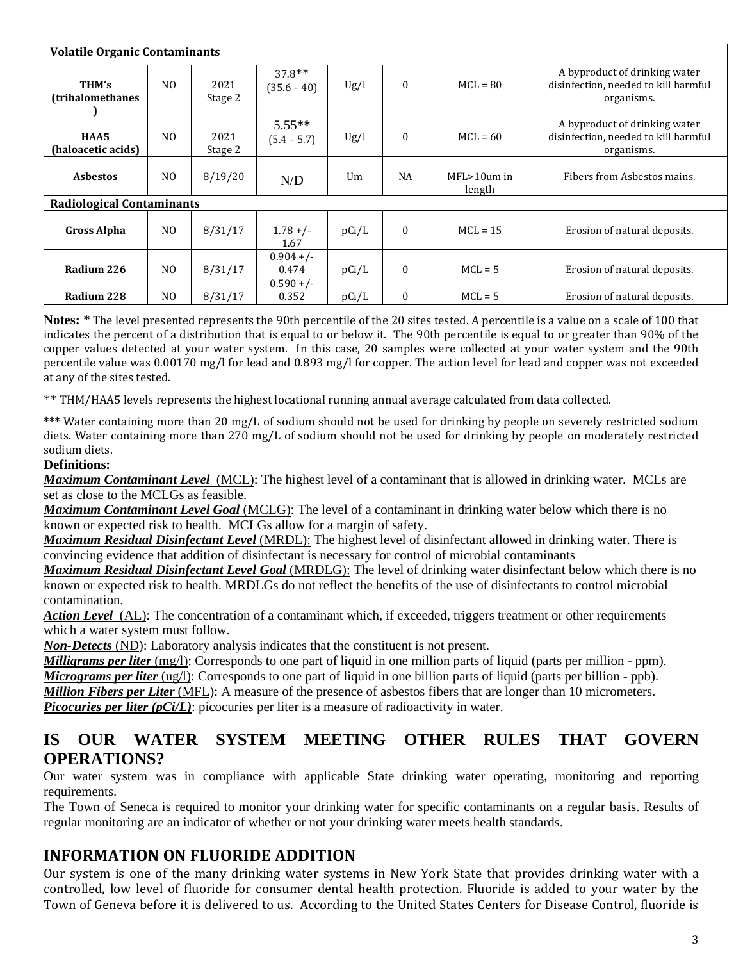| <b>Volatile Organic Contaminants</b> |                |                 |                           |       |              |                            |                                                                                     |  |  |  |  |
|--------------------------------------|----------------|-----------------|---------------------------|-------|--------------|----------------------------|-------------------------------------------------------------------------------------|--|--|--|--|
| THM's<br><b>(trihalomethanes)</b>    | N <sub>0</sub> | 2021<br>Stage 2 | $37.8**$<br>$(35.6 - 40)$ | Ug/l  | $\mathbf{0}$ | $MCL = 80$                 | A byproduct of drinking water<br>disinfection, needed to kill harmful<br>organisms. |  |  |  |  |
| HAA5<br>(haloacetic acids)           | N <sub>0</sub> | 2021<br>Stage 2 | $5.55**$<br>$(5.4 - 5.7)$ | Ug/l  | $\mathbf{0}$ | $MCL = 60$                 | A byproduct of drinking water<br>disinfection, needed to kill harmful<br>organisms. |  |  |  |  |
| <b>Asbestos</b>                      | N <sub>0</sub> | 8/19/20         | N/D                       | Um    | <b>NA</b>    | $MFL > 10$ um in<br>length | Fibers from Asbestos mains.                                                         |  |  |  |  |
| <b>Radiological Contaminants</b>     |                |                 |                           |       |              |                            |                                                                                     |  |  |  |  |
| <b>Gross Alpha</b>                   | N <sub>0</sub> | 8/31/17         | $1.78 +/-$<br>1.67        | pCi/L | $\mathbf{0}$ | $MCL = 15$                 | Erosion of natural deposits.                                                        |  |  |  |  |
| Radium 226                           | N <sub>O</sub> | 8/31/17         | $0.904 +/-$<br>0.474      | pCi/L | $\Omega$     | $MCL = 5$                  | Erosion of natural deposits.                                                        |  |  |  |  |
| Radium 228                           | N <sub>O</sub> | 8/31/17         | $0.590 +/-$<br>0.352      | pCi/L | $\mathbf{0}$ | $MCL = 5$                  | Erosion of natural deposits.                                                        |  |  |  |  |

**Notes:** \* The level presented represents the 90th percentile of the 20 sites tested. A percentile is a value on a scale of 100 that indicates the percent of a distribution that is equal to or below it. The 90th percentile is equal to or greater than 90% of the copper values detected at your water system. In this case, 20 samples were collected at your water system and the 90th percentile value was 0.00170 mg/l for lead and 0.893 mg/l for copper. The action level for lead and copper was not exceeded at any of the sites tested.

\*\* THM/HAA5 levels represents the highest locational running annual average calculated from data collected.

**\*\*\*** Water containing more than 20 mg/L of sodium should not be used for drinking by people on severely restricted sodium diets. Water containing more than 270 mg/L of sodium should not be used for drinking by people on moderately restricted sodium diets.

#### **Definitions:**

*Maximum Contaminant Level*(MCL): The highest level of a contaminant that is allowed in drinking water. MCLs are set as close to the MCLGs as feasible.

*Maximum Contaminant Level Goal* (MCLG): The level of a contaminant in drinking water below which there is no known or expected risk to health. MCLGs allow for a margin of safety.

*Maximum Residual Disinfectant Level* (MRDL): The highest level of disinfectant allowed in drinking water. There is convincing evidence that addition of disinfectant is necessary for control of microbial contaminants

*Maximum Residual Disinfectant Level Goal* (MRDLG): The level of drinking water disinfectant below which there is no known or expected risk to health. MRDLGs do not reflect the benefits of the use of disinfectants to control microbial contamination.

*Action Level*(AL): The concentration of a contaminant which, if exceeded, triggers treatment or other requirements which a water system must follow.

*Non-Detects* (ND): Laboratory analysis indicates that the constituent is not present.

*Milligrams per liter* (mg/l): Corresponds to one part of liquid in one million parts of liquid (parts per million - ppm). *Micrograms per liter* (ug/l): Corresponds to one part of liquid in one billion parts of liquid (parts per billion - ppb). *Million Fibers per Liter* (MFL): A measure of the presence of asbestos fibers that are longer than 10 micrometers. *Picocuries per liter (pCi/L)*: picocuries per liter is a measure of radioactivity in water.

## **IS OUR WATER SYSTEM MEETING OTHER RULES THAT GOVERN OPERATIONS?**

Our water system was in compliance with applicable State drinking water operating, monitoring and reporting requirements.

The Town of Seneca is required to monitor your drinking water for specific contaminants on a regular basis. Results of regular monitoring are an indicator of whether or not your drinking water meets health standards.

## **INFORMATION ON FLUORIDE ADDITION**

Our system is one of the many drinking water systems in New York State that provides drinking water with a controlled, low level of fluoride for consumer dental health protection. Fluoride is added to your water by the Town of Geneva before it is delivered to us. According to the United States Centers for Disease Control, fluoride is